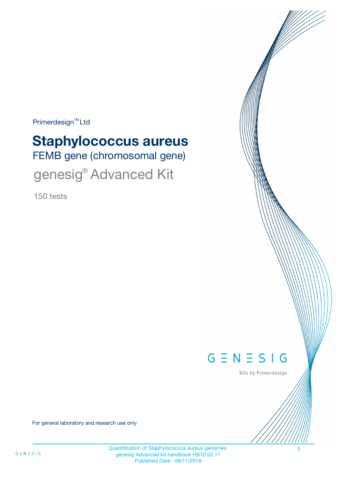Primerdesign<sup>™</sup>Ltd

# FEMB gene (chromosomal gene) **Staphylococcus aureus** genesig® Advanced Kit

150 tests



Kits by Primerdesign

For general laboratory and research use only

Quantification of Staphylococcus aureus genomes. 1 genesig Advanced kit handbook HB10.03.11 Published Date: 09/11/2018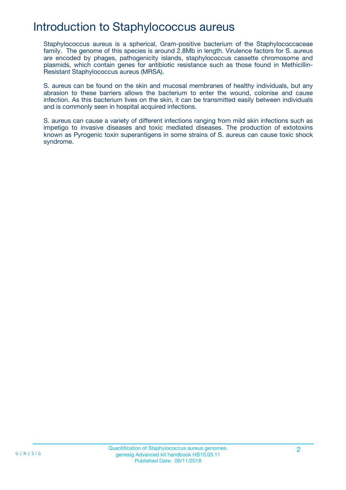### Introduction to Staphylococcus aureus

Staphylococcus aureus is a spherical, Gram-positive bacterium of the Staphylococcaceae family. The genome of this species is around 2.8Mb in length. Virulence factors for S. aureus are encoded by phages, pathogenicity islands, staphylococcus cassette chromosome and plasmids, which contain genes for antibiotic resistance such as those found in Methicillin-Resistant Staphylococcus aureus (MRSA).

S. aureus can be found on the skin and mucosal membranes of healthy individuals, but any abrasion to these barriers allows the bacterium to enter the wound, colonise and cause infection. As this bacterium lives on the skin, it can be transmitted easily between individuals and is commonly seen in hospital acquired infections.

S. aureus can cause a variety of different infections ranging from mild skin infections such as impetigo to invasive diseases and toxic mediated diseases. The production of extotoxins known as Pyrogenic toxin superantigens in some strains of S. aureus can cause toxic shock syndrome.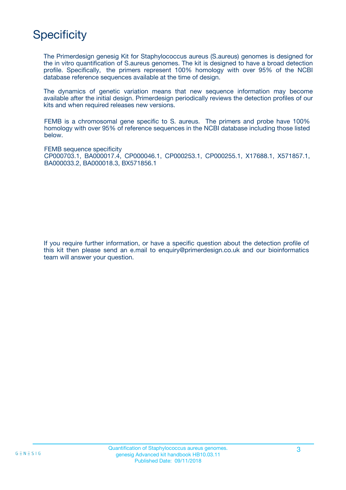# **Specificity**

The Primerdesign genesig Kit for Staphylococcus aureus (S.aureus) genomes is designed for the in vitro quantification of S.aureus genomes. The kit is designed to have a broad detection profile. Specifically, the primers represent 100% homology with over 95% of the NCBI database reference sequences available at the time of design.

The dynamics of genetic variation means that new sequence information may become available after the initial design. Primerdesign periodically reviews the detection profiles of our kits and when required releases new versions.

FEMB is a chromosomal gene specific to S. aureus. The primers and probe have 100% homology with over 95% of reference sequences in the NCBI database including those listed below.

FEMB sequence specificity CP000703.1, BA000017.4, CP000046.1, CP000253.1, CP000255.1, X17688.1, X571857.1, BA000033.2, BA000018.3, BX571856.1

If you require further information, or have a specific question about the detection profile of this kit then please send an e.mail to enquiry@primerdesign.co.uk and our bioinformatics team will answer your question.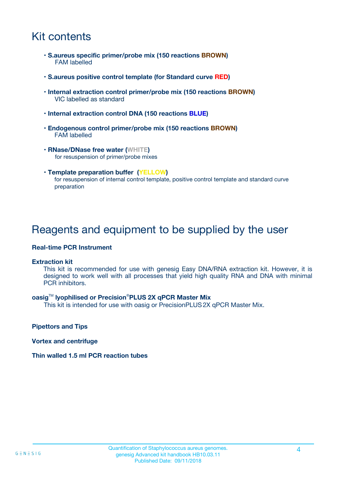### Kit contents

- **S.aureus specific primer/probe mix (150 reactions BROWN)** FAM labelled
- **S.aureus positive control template (for Standard curve RED)**
- **Internal extraction control primer/probe mix (150 reactions BROWN)** VIC labelled as standard
- **Internal extraction control DNA (150 reactions BLUE)**
- **Endogenous control primer/probe mix (150 reactions BROWN)** FAM labelled
- **RNase/DNase free water (WHITE)** for resuspension of primer/probe mixes
- **Template preparation buffer (YELLOW)** for resuspension of internal control template, positive control template and standard curve preparation

### Reagents and equipment to be supplied by the user

#### **Real-time PCR Instrument**

#### **Extraction kit**

This kit is recommended for use with genesig Easy DNA/RNA extraction kit. However, it is designed to work well with all processes that yield high quality RNA and DNA with minimal PCR inhibitors.

#### **oasig**TM **lyophilised or Precision**®**PLUS 2X qPCR Master Mix**

This kit is intended for use with oasig or PrecisionPLUS2X qPCR Master Mix.

**Pipettors and Tips**

**Vortex and centrifuge**

#### **Thin walled 1.5 ml PCR reaction tubes**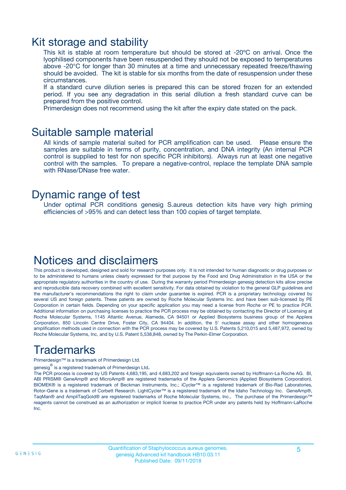### Kit storage and stability

This kit is stable at room temperature but should be stored at -20ºC on arrival. Once the lyophilised components have been resuspended they should not be exposed to temperatures above -20°C for longer than 30 minutes at a time and unnecessary repeated freeze/thawing should be avoided. The kit is stable for six months from the date of resuspension under these circumstances.

If a standard curve dilution series is prepared this can be stored frozen for an extended period. If you see any degradation in this serial dilution a fresh standard curve can be prepared from the positive control.

Primerdesign does not recommend using the kit after the expiry date stated on the pack.

### Suitable sample material

All kinds of sample material suited for PCR amplification can be used. Please ensure the samples are suitable in terms of purity, concentration, and DNA integrity (An internal PCR control is supplied to test for non specific PCR inhibitors). Always run at least one negative control with the samples. To prepare a negative-control, replace the template DNA sample with RNase/DNase free water.

### Dynamic range of test

Under optimal PCR conditions genesig S.aureus detection kits have very high priming efficiencies of >95% and can detect less than 100 copies of target template.

### Notices and disclaimers

This product is developed, designed and sold for research purposes only. It is not intended for human diagnostic or drug purposes or to be administered to humans unless clearly expressed for that purpose by the Food and Drug Administration in the USA or the appropriate regulatory authorities in the country of use. During the warranty period Primerdesign genesig detection kits allow precise and reproducible data recovery combined with excellent sensitivity. For data obtained by violation to the general GLP guidelines and the manufacturer's recommendations the right to claim under guarantee is expired. PCR is a proprietary technology covered by several US and foreign patents. These patents are owned by Roche Molecular Systems Inc. and have been sub-licensed by PE Corporation in certain fields. Depending on your specific application you may need a license from Roche or PE to practice PCR. Additional information on purchasing licenses to practice the PCR process may be obtained by contacting the Director of Licensing at Roche Molecular Systems, 1145 Atlantic Avenue, Alameda, CA 94501 or Applied Biosystems business group of the Applera Corporation, 850 Lincoln Centre Drive, Foster City, CA 94404. In addition, the 5' nuclease assay and other homogeneous amplification methods used in connection with the PCR process may be covered by U.S. Patents 5,210,015 and 5,487,972, owned by Roche Molecular Systems, Inc, and by U.S. Patent 5,538,848, owned by The Perkin-Elmer Corporation.

## Trademarks

Primerdesign™ is a trademark of Primerdesign Ltd.

genesig $^\circledR$  is a registered trademark of Primerdesign Ltd.

The PCR process is covered by US Patents 4,683,195, and 4,683,202 and foreign equivalents owned by Hoffmann-La Roche AG. BI, ABI PRISM® GeneAmp® and MicroAmp® are registered trademarks of the Applera Genomics (Applied Biosystems Corporation). BIOMEK® is a registered trademark of Beckman Instruments, Inc.; iCycler™ is a registered trademark of Bio-Rad Laboratories, Rotor-Gene is a trademark of Corbett Research. LightCycler™ is a registered trademark of the Idaho Technology Inc. GeneAmp®, TaqMan® and AmpliTaqGold® are registered trademarks of Roche Molecular Systems, Inc., The purchase of the Primerdesign™ reagents cannot be construed as an authorization or implicit license to practice PCR under any patents held by Hoffmann-LaRoche Inc.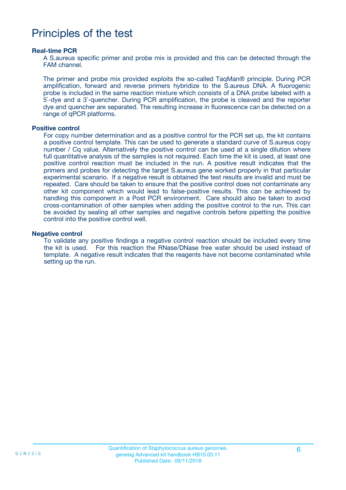### Principles of the test

#### **Real-time PCR**

A S.aureus specific primer and probe mix is provided and this can be detected through the FAM channel.

The primer and probe mix provided exploits the so-called TaqMan® principle. During PCR amplification, forward and reverse primers hybridize to the S.aureus DNA. A fluorogenic probe is included in the same reaction mixture which consists of a DNA probe labeled with a 5`-dye and a 3`-quencher. During PCR amplification, the probe is cleaved and the reporter dye and quencher are separated. The resulting increase in fluorescence can be detected on a range of qPCR platforms.

#### **Positive control**

For copy number determination and as a positive control for the PCR set up, the kit contains a positive control template. This can be used to generate a standard curve of S.aureus copy number / Cq value. Alternatively the positive control can be used at a single dilution where full quantitative analysis of the samples is not required. Each time the kit is used, at least one positive control reaction must be included in the run. A positive result indicates that the primers and probes for detecting the target S.aureus gene worked properly in that particular experimental scenario. If a negative result is obtained the test results are invalid and must be repeated. Care should be taken to ensure that the positive control does not contaminate any other kit component which would lead to false-positive results. This can be achieved by handling this component in a Post PCR environment. Care should also be taken to avoid cross-contamination of other samples when adding the positive control to the run. This can be avoided by sealing all other samples and negative controls before pipetting the positive control into the positive control well.

#### **Negative control**

To validate any positive findings a negative control reaction should be included every time the kit is used. For this reaction the RNase/DNase free water should be used instead of template. A negative result indicates that the reagents have not become contaminated while setting up the run.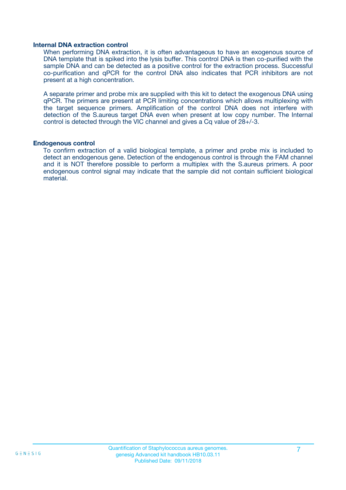#### **Internal DNA extraction control**

When performing DNA extraction, it is often advantageous to have an exogenous source of DNA template that is spiked into the lysis buffer. This control DNA is then co-purified with the sample DNA and can be detected as a positive control for the extraction process. Successful co-purification and qPCR for the control DNA also indicates that PCR inhibitors are not present at a high concentration.

A separate primer and probe mix are supplied with this kit to detect the exogenous DNA using qPCR. The primers are present at PCR limiting concentrations which allows multiplexing with the target sequence primers. Amplification of the control DNA does not interfere with detection of the S.aureus target DNA even when present at low copy number. The Internal control is detected through the VIC channel and gives a Cq value of 28+/-3.

#### **Endogenous control**

To confirm extraction of a valid biological template, a primer and probe mix is included to detect an endogenous gene. Detection of the endogenous control is through the FAM channel and it is NOT therefore possible to perform a multiplex with the S.aureus primers. A poor endogenous control signal may indicate that the sample did not contain sufficient biological material.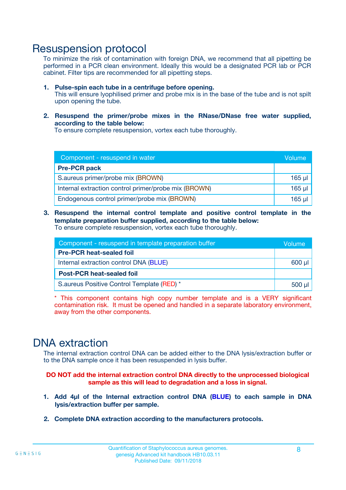### Resuspension protocol

To minimize the risk of contamination with foreign DNA, we recommend that all pipetting be performed in a PCR clean environment. Ideally this would be a designated PCR lab or PCR cabinet. Filter tips are recommended for all pipetting steps.

- **1. Pulse-spin each tube in a centrifuge before opening.** This will ensure lyophilised primer and probe mix is in the base of the tube and is not spilt upon opening the tube.
- **2. Resuspend the primer/probe mixes in the RNase/DNase free water supplied, according to the table below:**

To ensure complete resuspension, vortex each tube thoroughly.

| Component - resuspend in water                       |          |  |
|------------------------------------------------------|----------|--|
| <b>Pre-PCR pack</b>                                  |          |  |
| S.aureus primer/probe mix (BROWN)                    | $165$ µ  |  |
| Internal extraction control primer/probe mix (BROWN) | $165$ µl |  |
| Endogenous control primer/probe mix (BROWN)          | 165 µl   |  |

**3. Resuspend the internal control template and positive control template in the template preparation buffer supplied, according to the table below:** To ensure complete resuspension, vortex each tube thoroughly.

| Component - resuspend in template preparation buffer |  |  |  |
|------------------------------------------------------|--|--|--|
| <b>Pre-PCR heat-sealed foil</b>                      |  |  |  |
| Internal extraction control DNA (BLUE)               |  |  |  |
| <b>Post-PCR heat-sealed foil</b>                     |  |  |  |
| S.aureus Positive Control Template (RED) *           |  |  |  |

\* This component contains high copy number template and is a VERY significant contamination risk. It must be opened and handled in a separate laboratory environment, away from the other components.

### DNA extraction

The internal extraction control DNA can be added either to the DNA lysis/extraction buffer or to the DNA sample once it has been resuspended in lysis buffer.

**DO NOT add the internal extraction control DNA directly to the unprocessed biological sample as this will lead to degradation and a loss in signal.**

- **1. Add 4µl of the Internal extraction control DNA (BLUE) to each sample in DNA lysis/extraction buffer per sample.**
- **2. Complete DNA extraction according to the manufacturers protocols.**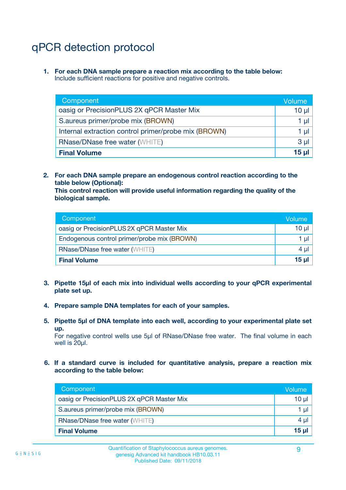# qPCR detection protocol

**1. For each DNA sample prepare a reaction mix according to the table below:** Include sufficient reactions for positive and negative controls.

| Component                                            | Volume   |
|------------------------------------------------------|----------|
| oasig or PrecisionPLUS 2X qPCR Master Mix            | 10 $\mu$ |
| S.aureus primer/probe mix (BROWN)                    | 1 µI l   |
| Internal extraction control primer/probe mix (BROWN) | 1 µl     |
| <b>RNase/DNase free water (WHITE)</b>                | $3 \mu$  |
| <b>Final Volume</b>                                  | 15 µl    |

**2. For each DNA sample prepare an endogenous control reaction according to the table below (Optional):**

**This control reaction will provide useful information regarding the quality of the biological sample.**

| Component                                   | Volume          |
|---------------------------------------------|-----------------|
| oasig or PrecisionPLUS 2X qPCR Master Mix   | 10 <sub>µ</sub> |
| Endogenous control primer/probe mix (BROWN) | 1 µI            |
| <b>RNase/DNase free water (WHITE)</b>       | $4 \mu$         |
| <b>Final Volume</b>                         | 15 µl           |

- **3. Pipette 15µl of each mix into individual wells according to your qPCR experimental plate set up.**
- **4. Prepare sample DNA templates for each of your samples.**
- **5. Pipette 5µl of DNA template into each well, according to your experimental plate set up.**

For negative control wells use 5µl of RNase/DNase free water. The final volume in each well is 20ul.

**6. If a standard curve is included for quantitative analysis, prepare a reaction mix according to the table below:**

| Component                                 | Volume   |
|-------------------------------------------|----------|
| oasig or PrecisionPLUS 2X qPCR Master Mix | $10 \mu$ |
| S.aureus primer/probe mix (BROWN)         |          |
| <b>RNase/DNase free water (WHITE)</b>     | $4 \mu$  |
| <b>Final Volume</b>                       | $15$ µ   |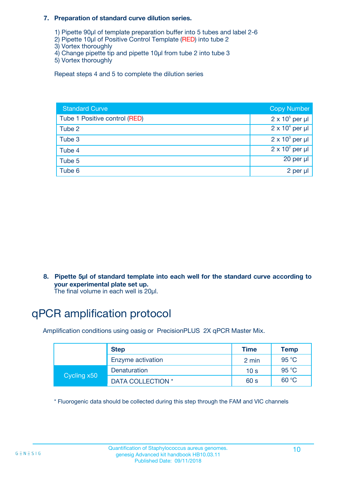#### **7. Preparation of standard curve dilution series.**

- 1) Pipette 90µl of template preparation buffer into 5 tubes and label 2-6
- 2) Pipette 10µl of Positive Control Template (RED) into tube 2
- 3) Vortex thoroughly
- 4) Change pipette tip and pipette 10µl from tube 2 into tube 3
- 5) Vortex thoroughly

Repeat steps 4 and 5 to complete the dilution series

| <b>Standard Curve</b>         | <b>Copy Number</b>     |
|-------------------------------|------------------------|
| Tube 1 Positive control (RED) | $2 \times 10^5$ per µl |
| Tube 2                        | $2 \times 10^4$ per µl |
| Tube 3                        | $2 \times 10^3$ per µl |
| Tube 4                        | $2 \times 10^2$ per µl |
| Tube 5                        | 20 per µl              |
| Tube 6                        | 2 per µl               |

**8. Pipette 5µl of standard template into each well for the standard curve according to your experimental plate set up.**

#### The final volume in each well is 20µl.

## qPCR amplification protocol

Amplification conditions using oasig or PrecisionPLUS 2X qPCR Master Mix.

|             | <b>Step</b>       | <b>Time</b>     | Temp    |
|-------------|-------------------|-----------------|---------|
|             | Enzyme activation | 2 min           | 95 °C   |
| Cycling x50 | Denaturation      | 10 <sub>s</sub> | 95 $°C$ |
|             | DATA COLLECTION * | 60 s            | 60 °C   |

\* Fluorogenic data should be collected during this step through the FAM and VIC channels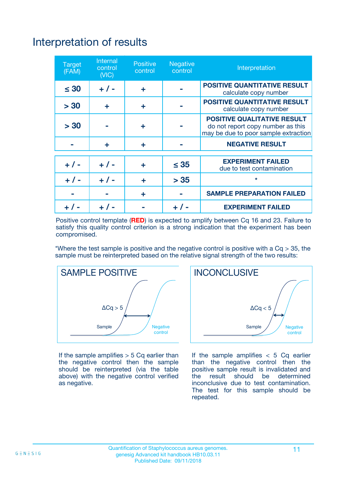# Interpretation of results

| <b>Target</b><br>(FAM) | <b>Internal</b><br>control<br>(NIC) | <b>Positive</b><br>control | <b>Negative</b><br>control | Interpretation                                                                                                  |
|------------------------|-------------------------------------|----------------------------|----------------------------|-----------------------------------------------------------------------------------------------------------------|
| $\leq 30$              | $+ 1 -$                             | ÷                          |                            | <b>POSITIVE QUANTITATIVE RESULT</b><br>calculate copy number                                                    |
| > 30                   | ٠                                   | ÷                          |                            | <b>POSITIVE QUANTITATIVE RESULT</b><br>calculate copy number                                                    |
| > 30                   |                                     | ÷                          |                            | <b>POSITIVE QUALITATIVE RESULT</b><br>do not report copy number as this<br>may be due to poor sample extraction |
|                        | ÷                                   | ÷                          |                            | <b>NEGATIVE RESULT</b>                                                                                          |
| $+ 1 -$                | $+ 1 -$                             | ÷                          | $\leq$ 35                  | <b>EXPERIMENT FAILED</b><br>due to test contamination                                                           |
| $+$ / -                | $+ 1 -$                             | ÷                          | > 35                       | $\star$                                                                                                         |
|                        |                                     | ÷                          |                            | <b>SAMPLE PREPARATION FAILED</b>                                                                                |
|                        |                                     |                            | $+$ /                      | <b>EXPERIMENT FAILED</b>                                                                                        |

Positive control template (**RED**) is expected to amplify between Cq 16 and 23. Failure to satisfy this quality control criterion is a strong indication that the experiment has been compromised.

\*Where the test sample is positive and the negative control is positive with a  $Ca > 35$ , the sample must be reinterpreted based on the relative signal strength of the two results:



If the sample amplifies  $> 5$  Cq earlier than the negative control then the sample should be reinterpreted (via the table above) with the negative control verified as negative.



If the sample amplifies  $< 5$  Cq earlier than the negative control then the positive sample result is invalidated and<br>the result should be determined  $the$  result should be inconclusive due to test contamination. The test for this sample should be repeated.